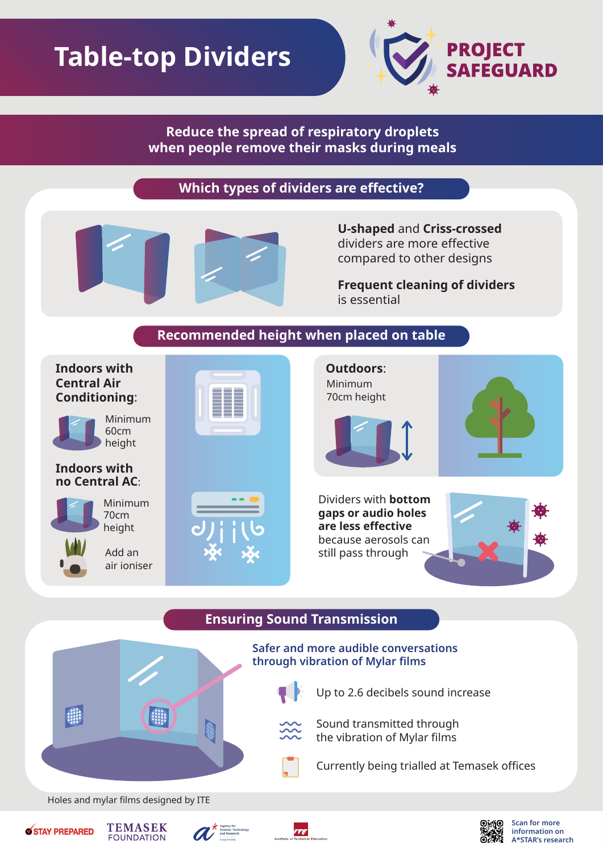# **Table-top Dividers**



**Reduce the spread of respiratory droplets when people remove their masks during meals**

**Which types of dividers are effective?** 



**U-shaped** and **Criss-crossed**  dividers are more effective compared to other designs

**Frequent cleaning of dividers** is essential

#### **Recommended height when placed on table**

#### **Indoors with Central Air Conditioning**:

Minimum 60cm height

#### **Indoors with no Central AC**:



Minimum 70cm height

Add an air ioniser



**Outdoors**: Minimum 70cm height



Dividers with **bottom gaps or audio holes**  are less effective because aerosols can still pass through



## **Ensuring Sound Transmission**



**Safer and more audible conversations through vibration of Mylar films**

Up to 2.6 decibels sound increase

Sound transmitted through the vibration of Mylar films

Currently being trialled at Temasek offices

Holes and mylar films designed by ITE